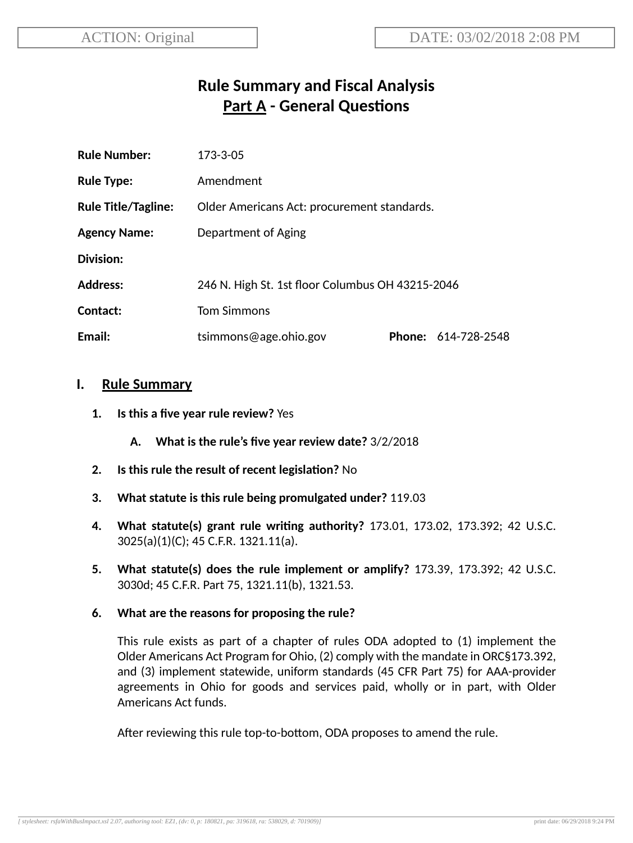# **Rule Summary and Fiscal Analysis Part A - General Questions**

| <b>Rule Number:</b>        | 173-3-05                                         |               |              |
|----------------------------|--------------------------------------------------|---------------|--------------|
| <b>Rule Type:</b>          | Amendment                                        |               |              |
| <b>Rule Title/Tagline:</b> | Older Americans Act: procurement standards.      |               |              |
| <b>Agency Name:</b>        | Department of Aging                              |               |              |
| Division:                  |                                                  |               |              |
| <b>Address:</b>            | 246 N. High St. 1st floor Columbus OH 43215-2046 |               |              |
| Contact:                   | <b>Tom Simmons</b>                               |               |              |
| Email:                     | tsimmons@age.ohio.gov                            | <b>Phone:</b> | 614-728-2548 |

## **I. Rule Summary**

- **1. Is this a five year rule review?** Yes
	- **A. What is the rule's five year review date?** 3/2/2018
- **2.** Is this rule the result of recent legislation? No
- **3. What statute is this rule being promulgated under?** 119.03
- **4. What statute(s) grant rule wring authority?** 173.01, 173.02, 173.392; 42 U.S.C. 3025(a)(1)(C); 45 C.F.R. 1321.11(a).
- **5. What statute(s) does the rule implement or amplify?** 173.39, 173.392; 42 U.S.C. 3030d; 45 C.F.R. Part 75, 1321.11(b), 1321.53.

## **6. What are the reasons for proposing the rule?**

This rule exists as part of a chapter of rules ODA adopted to (1) implement the Older Americans Act Program for Ohio, (2) comply with the mandate in ORC§173.392, and (3) implement statewide, uniform standards (45 CFR Part 75) for AAA-provider agreements in Ohio for goods and services paid, wholly or in part, with Older Americans Act funds.

After reviewing this rule top-to-bottom, ODA proposes to amend the rule.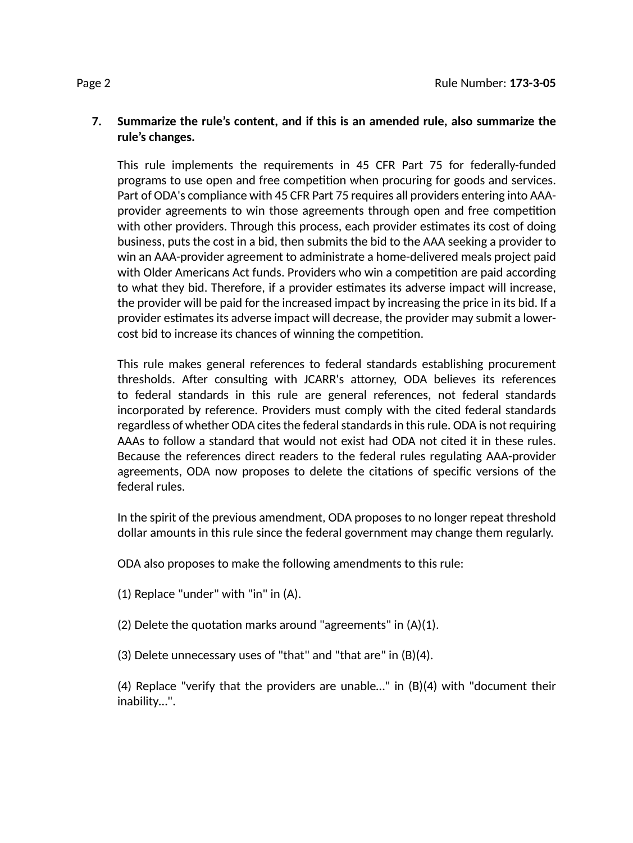## **7. Summarize the rule's content, and if this is an amended rule, also summarize the rule's changes.**

This rule implements the requirements in 45 CFR Part 75 for federally-funded programs to use open and free competition when procuring for goods and services. Part of ODA's compliance with 45 CFR Part 75 requires all providers entering into AAAprovider agreements to win those agreements through open and free competition with other providers. Through this process, each provider estimates its cost of doing business, puts the cost in a bid, then submits the bid to the AAA seeking a provider to win an AAA-provider agreement to administrate a home-delivered meals project paid with Older Americans Act funds. Providers who win a competition are paid according to what they bid. Therefore, if a provider estimates its adverse impact will increase, the provider will be paid for the increased impact by increasing the price in its bid. If a provider estimates its adverse impact will decrease, the provider may submit a lowercost bid to increase its chances of winning the competition.

This rule makes general references to federal standards establishing procurement thresholds. After consulting with JCARR's attorney, ODA believes its references to federal standards in this rule are general references, not federal standards incorporated by reference. Providers must comply with the cited federal standards regardless of whether ODA cites the federal standards in this rule. ODA is not requiring AAAs to follow a standard that would not exist had ODA not cited it in these rules. Because the references direct readers to the federal rules regulating AAA-provider agreements, ODA now proposes to delete the citations of specific versions of the federal rules.

In the spirit of the previous amendment, ODA proposes to no longer repeat threshold dollar amounts in this rule since the federal government may change them regularly.

ODA also proposes to make the following amendments to this rule:

- (1) Replace "under" with "in" in (A).
- $(2)$  Delete the quotation marks around "agreements" in  $(A)(1)$ .
- (3) Delete unnecessary uses of "that" and "that are" in (B)(4).

(4) Replace "verify that the providers are unable…" in (B)(4) with "document their inability…".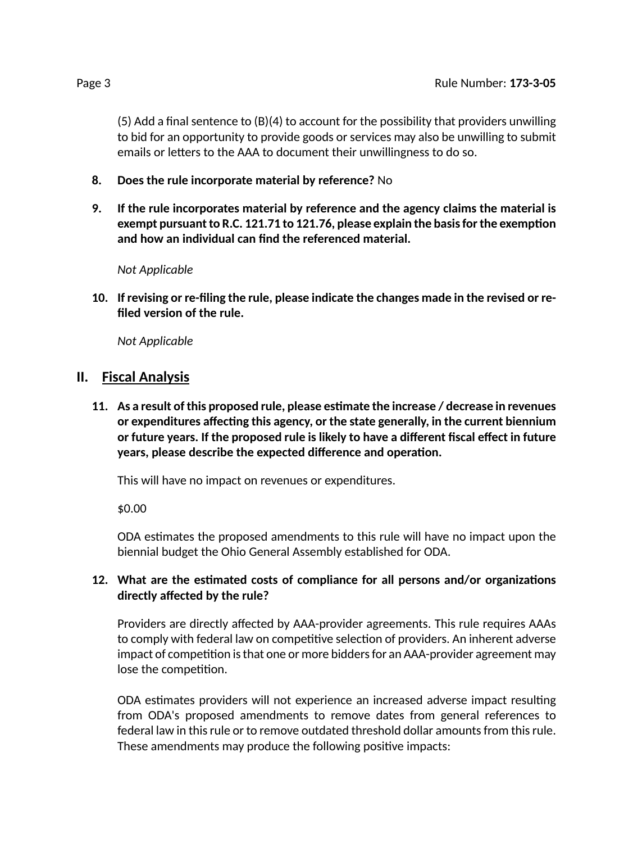(5) Add a final sentence to (B)(4) to account for the possibility that providers unwilling to bid for an opportunity to provide goods or services may also be unwilling to submit emails or letters to the AAA to document their unwillingness to do so.

- **8. Does the rule incorporate material by reference?** No
- **9. If the rule incorporates material by reference and the agency claims the material is exempt** pursuant to R.C. 121.71 to 121.76, please explain the basis for the exemption **and how an individual can find the referenced material.**

*Not Applicable*

**10. If revising or re-filing the rule, please indicate the changes made in the revised or refiled version of the rule.**

*Not Applicable*

## **II. Fiscal Analysis**

**11. As a result of this proposed rule, please esmate the increase / decrease in revenues** *or* **expenditures** affecting this agency, or the state generally, in the current biennium **or future years. If the proposed rule is likely to have a different fiscal effect in future years, please describe the expected difference and operation.** 

This will have no impact on revenues or expenditures.

\$0.00

ODA estimates the proposed amendments to this rule will have no impact upon the biennial budget the Ohio General Assembly established for ODA.

## **12. What are the esmated costs of compliance for all persons and/or organizaons directly affected by the rule?**

Providers are directly affected by AAA-provider agreements. This rule requires AAAs to comply with federal law on competitive selection of providers. An inherent adverse impact of competition is that one or more bidders for an AAA-provider agreement may lose the competition.

ODA estimates providers will not experience an increased adverse impact resulting from ODA's proposed amendments to remove dates from general references to federal law in this rule or to remove outdated threshold dollar amounts from this rule. These amendments may produce the following positive impacts: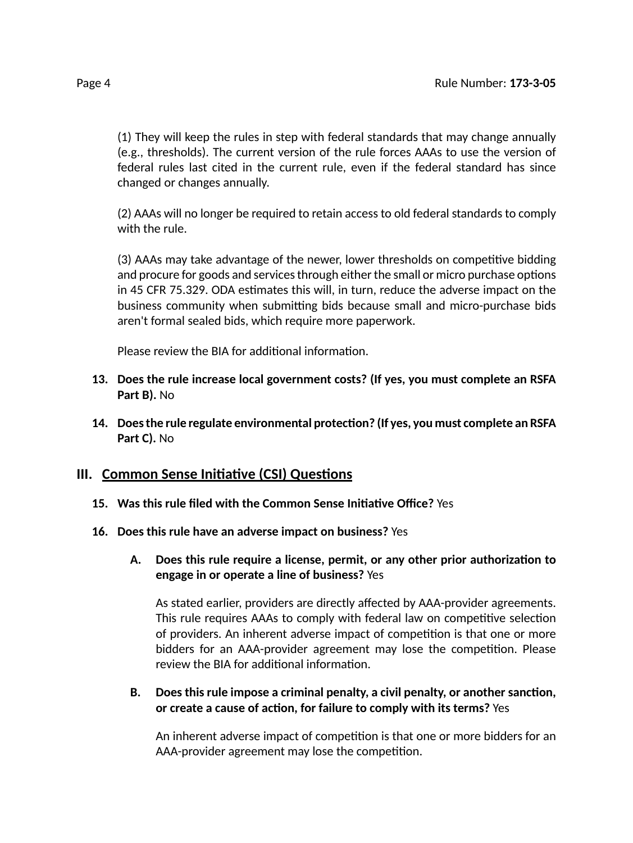(1) They will keep the rules in step with federal standards that may change annually (e.g., thresholds). The current version of the rule forces AAAs to use the version of federal rules last cited in the current rule, even if the federal standard has since changed or changes annually.

(2) AAAs will no longer be required to retain access to old federal standards to comply with the rule.

(3) AAAs may take advantage of the newer, lower thresholds on competitive bidding and procure for goods and services through either the small or micro purchase options in 45 CFR 75.329. ODA estimates this will, in turn, reduce the adverse impact on the business community when submitting bids because small and micro-purchase bids aren't formal sealed bids, which require more paperwork.

Please review the BIA for additional information.

- **13. Does the rule increase local government costs? (If yes, you must complete an RSFA Part B).** No
- **14. Doesthe rule regulate environmental protecon? (If yes, you must complete an RSFA Part C).** No

## **III.** Common Sense Initiative (CSI) Questions

- **15. Was this rule filed with the Common Sense Iniave Office?** Yes
- **16. Does this rule have an adverse impact on business?** Yes
	- **A. Does this rule require a license, permit, or any other prior authorizaon to engage in or operate a line of business?** Yes

As stated earlier, providers are directly affected by AAA-provider agreements. This rule requires AAAs to comply with federal law on competitive selection of providers. An inherent adverse impact of competition is that one or more bidders for an AAA-provider agreement may lose the competition. Please review the BIA for additional information.

**B. Does this rule impose a criminal penalty, a civil penalty, or another sancon, or create a cause of acon, for failure to comply with its terms?** Yes

An inherent adverse impact of competition is that one or more bidders for an AAA-provider agreement may lose the competition.